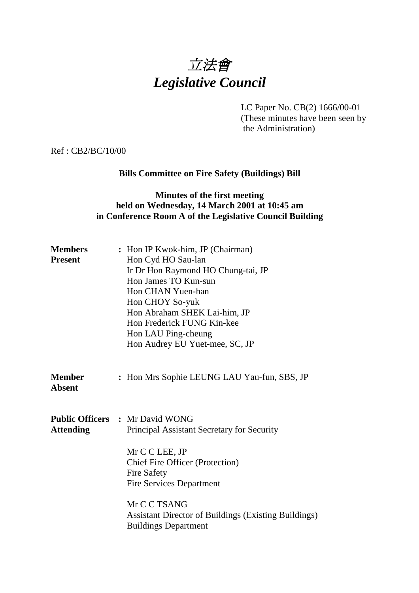# 立法會 *Legislative Council*

LC Paper No. CB(2) 1666/00-01 (These minutes have been seen by the Administration)

Ref : CB2/BC/10/00

## **Bills Committee on Fire Safety (Buildings) Bill**

## **Minutes of the first meeting held on Wednesday, 14 March 2001 at 10:45 am in Conference Room A of the Legislative Council Building**

| <b>Members</b><br><b>Present</b> | : Hon IP Kwok-him, JP (Chairman)<br>Hon Cyd HO Sau-lan<br>Ir Dr Hon Raymond HO Chung-tai, JP<br>Hon James TO Kun-sun<br>Hon CHAN Yuen-han<br>Hon CHOY So-yuk<br>Hon Abraham SHEK Lai-him, JP<br>Hon Frederick FUNG Kin-kee<br>Hon LAU Ping-cheung<br>Hon Audrey EU Yuet-mee, SC, JP |
|----------------------------------|-------------------------------------------------------------------------------------------------------------------------------------------------------------------------------------------------------------------------------------------------------------------------------------|
| <b>Member</b><br><b>Absent</b>   | : Hon Mrs Sophie LEUNG LAU Yau-fun, SBS, JP                                                                                                                                                                                                                                         |
| <b>Attending</b>                 | <b>Public Officers : Mr David WONG</b><br>Principal Assistant Secretary for Security<br>Mr C C LEE, JP<br><b>Chief Fire Officer (Protection)</b><br><b>Fire Safety</b><br><b>Fire Services Department</b>                                                                           |
|                                  | Mr C C TSANG<br><b>Assistant Director of Buildings (Existing Buildings)</b><br><b>Buildings Department</b>                                                                                                                                                                          |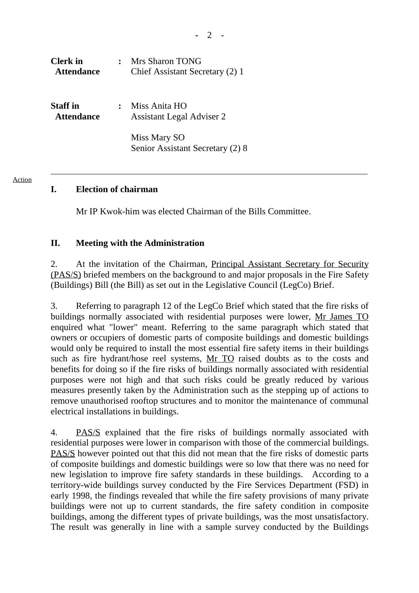| <b>Clerk</b> in<br><b>Attendance</b> | <b>Mrs Sharon TONG</b><br>Chief Assistant Secretary (2) 1 |
|--------------------------------------|-----------------------------------------------------------|
| <b>Staff</b> in<br><b>Attendance</b> | Miss Anita HO<br><b>Assistant Legal Adviser 2</b>         |
|                                      | Miss Mary SO<br>Senior Assistant Secretary (2) 8          |

#### Action

## **I. Election of chairman**

Mr IP Kwok-him was elected Chairman of the Bills Committee.

## **II. Meeting with the Administration**

2. At the invitation of the Chairman, Principal Assistant Secretary for Security (PAS/S) briefed members on the background to and major proposals in the Fire Safety (Buildings) Bill (the Bill) as set out in the Legislative Council (LegCo) Brief.

3. Referring to paragraph 12 of the LegCo Brief which stated that the fire risks of buildings normally associated with residential purposes were lower, Mr James TO enquired what "lower" meant. Referring to the same paragraph which stated that owners or occupiers of domestic parts of composite buildings and domestic buildings would only be required to install the most essential fire safety items in their buildings such as fire hydrant/hose reel systems, Mr TO raised doubts as to the costs and benefits for doing so if the fire risks of buildings normally associated with residential purposes were not high and that such risks could be greatly reduced by various measures presently taken by the Administration such as the stepping up of actions to remove unauthorised rooftop structures and to monitor the maintenance of communal electrical installations in buildings.

4. PAS/S explained that the fire risks of buildings normally associated with residential purposes were lower in comparison with those of the commercial buildings. PAS/S however pointed out that this did not mean that the fire risks of domestic parts of composite buildings and domestic buildings were so low that there was no need for new legislation to improve fire safety standards in these buildings. According to a territory-wide buildings survey conducted by the Fire Services Department (FSD) in early 1998, the findings revealed that while the fire safety provisions of many private buildings were not up to current standards, the fire safety condition in composite buildings, among the different types of private buildings, was the most unsatisfactory. The result was generally in line with a sample survey conducted by the Buildings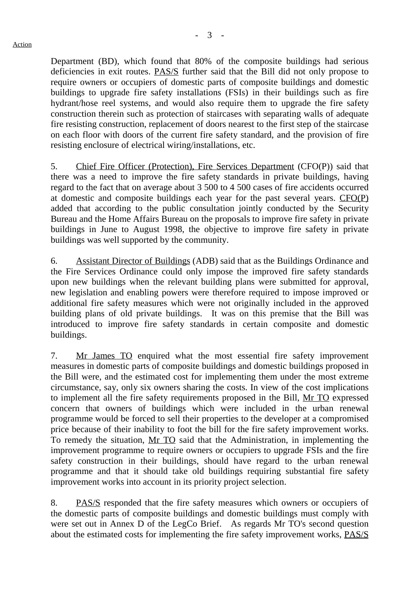Department (BD), which found that 80% of the composite buildings had serious deficiencies in exit routes. PAS/S further said that the Bill did not only propose to require owners or occupiers of domestic parts of composite buildings and domestic buildings to upgrade fire safety installations (FSIs) in their buildings such as fire hydrant/hose reel systems, and would also require them to upgrade the fire safety construction therein such as protection of staircases with separating walls of adequate fire resisting construction, replacement of doors nearest to the first step of the staircase on each floor with doors of the current fire safety standard, and the provision of fire resisting enclosure of electrical wiring/installations, etc.

5. Chief Fire Officer (Protection), Fire Services Department (CFO(P)) said that there was a need to improve the fire safety standards in private buildings, having regard to the fact that on average about 3 500 to 4 500 cases of fire accidents occurred at domestic and composite buildings each year for the past several years. CFO(P) added that according to the public consultation jointly conducted by the Security Bureau and the Home Affairs Bureau on the proposals to improve fire safety in private buildings in June to August 1998, the objective to improve fire safety in private buildings was well supported by the community.

6. Assistant Director of Buildings (ADB) said that as the Buildings Ordinance and the Fire Services Ordinance could only impose the improved fire safety standards upon new buildings when the relevant building plans were submitted for approval, new legislation and enabling powers were therefore required to impose improved or additional fire safety measures which were not originally included in the approved building plans of old private buildings. It was on this premise that the Bill was introduced to improve fire safety standards in certain composite and domestic buildings.

7. Mr James TO enquired what the most essential fire safety improvement measures in domestic parts of composite buildings and domestic buildings proposed in the Bill were, and the estimated cost for implementing them under the most extreme circumstance, say, only six owners sharing the costs. In view of the cost implications to implement all the fire safety requirements proposed in the Bill, Mr TO expressed concern that owners of buildings which were included in the urban renewal programme would be forced to sell their properties to the developer at a compromised price because of their inability to foot the bill for the fire safety improvement works. To remedy the situation, Mr TO said that the Administration, in implementing the improvement programme to require owners or occupiers to upgrade FSIs and the fire safety construction in their buildings, should have regard to the urban renewal programme and that it should take old buildings requiring substantial fire safety improvement works into account in its priority project selection.

8. PAS/S responded that the fire safety measures which owners or occupiers of the domestic parts of composite buildings and domestic buildings must comply with were set out in Annex D of the LegCo Brief. As regards Mr TO's second question about the estimated costs for implementing the fire safety improvement works, PAS/S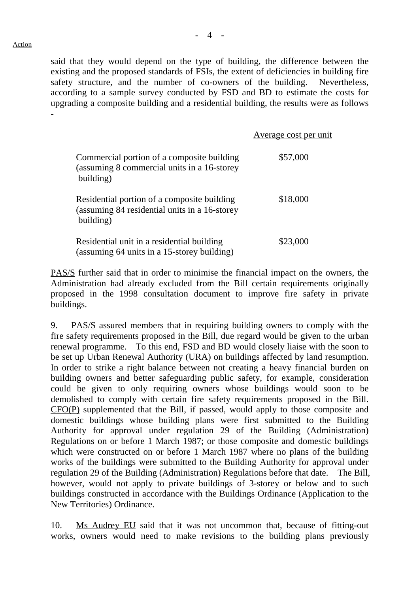## Action

said that they would depend on the type of building, the difference between the existing and the proposed standards of FSIs, the extent of deficiencies in building fire safety structure, and the number of co-owners of the building. Nevertheless, according to a sample survey conducted by FSD and BD to estimate the costs for upgrading a composite building and a residential building, the results were as follows -

|                                                                                                           | <u>Average cost per unit</u> |
|-----------------------------------------------------------------------------------------------------------|------------------------------|
| Commercial portion of a composite building<br>(assuming 8 commercial units in a 16-storey<br>building)    | \$57,000                     |
| Residential portion of a composite building<br>(assuming 84 residential units in a 16-storey<br>building) | \$18,000                     |
| Residential unit in a residential building<br>(assuming 64 units in a 15-storey building)                 | \$23,000                     |

PAS/S further said that in order to minimise the financial impact on the owners, the Administration had already excluded from the Bill certain requirements originally proposed in the 1998 consultation document to improve fire safety in private buildings.

9. PAS/S assured members that in requiring building owners to comply with the fire safety requirements proposed in the Bill, due regard would be given to the urban renewal programme. To this end, FSD and BD would closely liaise with the soon to be set up Urban Renewal Authority (URA) on buildings affected by land resumption. In order to strike a right balance between not creating a heavy financial burden on building owners and better safeguarding public safety, for example, consideration could be given to only requiring owners whose buildings would soon to be demolished to comply with certain fire safety requirements proposed in the Bill. CFO(P) supplemented that the Bill, if passed, would apply to those composite and domestic buildings whose building plans were first submitted to the Building Authority for approval under regulation 29 of the Building (Administration) Regulations on or before 1 March 1987; or those composite and domestic buildings which were constructed on or before 1 March 1987 where no plans of the building works of the buildings were submitted to the Building Authority for approval under regulation 29 of the Building (Administration) Regulations before that date. The Bill, however, would not apply to private buildings of 3-storey or below and to such buildings constructed in accordance with the Buildings Ordinance (Application to the New Territories) Ordinance.

10. Ms Audrey EU said that it was not uncommon that, because of fitting-out works, owners would need to make revisions to the building plans previously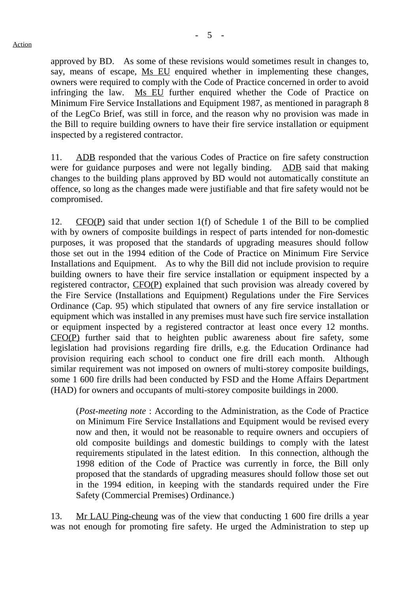approved by BD. As some of these revisions would sometimes result in changes to, say, means of escape, Ms EU enquired whether in implementing these changes, owners were required to comply with the Code of Practice concerned in order to avoid infringing the law. Ms EU further enquired whether the Code of Practice on Minimum Fire Service Installations and Equipment 1987, as mentioned in paragraph 8 of the LegCo Brief, was still in force, and the reason why no provision was made in the Bill to require building owners to have their fire service installation or equipment inspected by a registered contractor.

11. ADB responded that the various Codes of Practice on fire safety construction were for guidance purposes and were not legally binding. ADB said that making changes to the building plans approved by BD would not automatically constitute an offence, so long as the changes made were justifiable and that fire safety would not be compromised.

12. CFO(P) said that under section 1(f) of Schedule 1 of the Bill to be complied with by owners of composite buildings in respect of parts intended for non-domestic purposes, it was proposed that the standards of upgrading measures should follow those set out in the 1994 edition of the Code of Practice on Minimum Fire Service Installations and Equipment. As to why the Bill did not include provision to require building owners to have their fire service installation or equipment inspected by a registered contractor, CFO(P) explained that such provision was already covered by the Fire Service (Installations and Equipment) Regulations under the Fire Services Ordinance (Cap. 95) which stipulated that owners of any fire service installation or equipment which was installed in any premises must have such fire service installation or equipment inspected by a registered contractor at least once every 12 months. CFO(P) further said that to heighten public awareness about fire safety, some legislation had provisions regarding fire drills, e.g. the Education Ordinance had provision requiring each school to conduct one fire drill each month. Although similar requirement was not imposed on owners of multi-storey composite buildings, some 1 600 fire drills had been conducted by FSD and the Home Affairs Department (HAD) for owners and occupants of multi-storey composite buildings in 2000.

(*Post-meeting note* : According to the Administration, as the Code of Practice on Minimum Fire Service Installations and Equipment would be revised every now and then, it would not be reasonable to require owners and occupiers of old composite buildings and domestic buildings to comply with the latest requirements stipulated in the latest edition. In this connection, although the 1998 edition of the Code of Practice was currently in force, the Bill only proposed that the standards of upgrading measures should follow those set out in the 1994 edition, in keeping with the standards required under the Fire Safety (Commercial Premises) Ordinance.)

13. Mr LAU Ping-cheung was of the view that conducting 1 600 fire drills a year was not enough for promoting fire safety. He urged the Administration to step up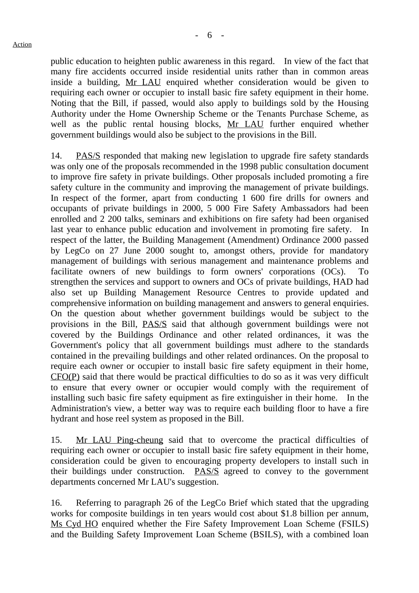public education to heighten public awareness in this regard. In view of the fact that many fire accidents occurred inside residential units rather than in common areas inside a building, Mr LAU enquired whether consideration would be given to requiring each owner or occupier to install basic fire safety equipment in their home. Noting that the Bill, if passed, would also apply to buildings sold by the Housing Authority under the Home Ownership Scheme or the Tenants Purchase Scheme, as well as the public rental housing blocks, Mr LAU further enquired whether government buildings would also be subject to the provisions in the Bill.

14. PAS/S responded that making new legislation to upgrade fire safety standards was only one of the proposals recommended in the 1998 public consultation document to improve fire safety in private buildings. Other proposals included promoting a fire safety culture in the community and improving the management of private buildings. In respect of the former, apart from conducting 1 600 fire drills for owners and occupants of private buildings in 2000, 5 000 Fire Safety Ambassadors had been enrolled and 2 200 talks, seminars and exhibitions on fire safety had been organised last year to enhance public education and involvement in promoting fire safety. In respect of the latter, the Building Management (Amendment) Ordinance 2000 passed by LegCo on 27 June 2000 sought to, amongst others, provide for mandatory management of buildings with serious management and maintenance problems and facilitate owners of new buildings to form owners' corporations (OCs). To strengthen the services and support to owners and OCs of private buildings, HAD had also set up Building Management Resource Centres to provide updated and comprehensive information on building management and answers to general enquiries. On the question about whether government buildings would be subject to the provisions in the Bill, PAS/S said that although government buildings were not covered by the Buildings Ordinance and other related ordinances, it was the Government's policy that all government buildings must adhere to the standards contained in the prevailing buildings and other related ordinances. On the proposal to require each owner or occupier to install basic fire safety equipment in their home, CFO(P) said that there would be practical difficulties to do so as it was very difficult to ensure that every owner or occupier would comply with the requirement of installing such basic fire safety equipment as fire extinguisher in their home. In the Administration's view, a better way was to require each building floor to have a fire hydrant and hose reel system as proposed in the Bill.

15. Mr LAU Ping-cheung said that to overcome the practical difficulties of requiring each owner or occupier to install basic fire safety equipment in their home, consideration could be given to encouraging property developers to install such in their buildings under construction. PAS/S agreed to convey to the government departments concerned Mr LAU's suggestion.

16. Referring to paragraph 26 of the LegCo Brief which stated that the upgrading works for composite buildings in ten years would cost about \$1.8 billion per annum, Ms Cyd HO enquired whether the Fire Safety Improvement Loan Scheme (FSILS) and the Building Safety Improvement Loan Scheme (BSILS), with a combined loan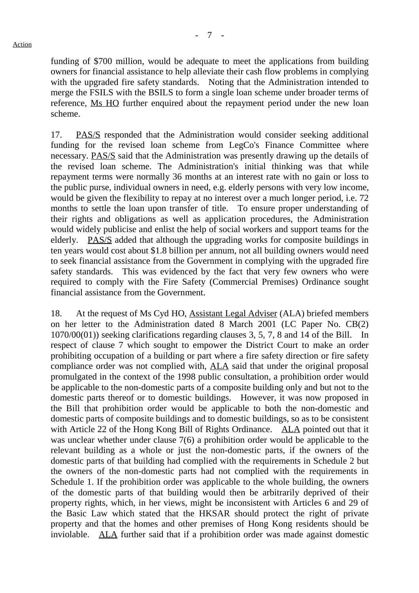funding of \$700 million, would be adequate to meet the applications from building owners for financial assistance to help alleviate their cash flow problems in complying with the upgraded fire safety standards. Noting that the Administration intended to merge the FSILS with the BSILS to form a single loan scheme under broader terms of reference, Ms HO further enquired about the repayment period under the new loan scheme.

17. PAS/S responded that the Administration would consider seeking additional funding for the revised loan scheme from LegCo's Finance Committee where necessary. PAS/S said that the Administration was presently drawing up the details of the revised loan scheme. The Administration's initial thinking was that while repayment terms were normally 36 months at an interest rate with no gain or loss to the public purse, individual owners in need, e.g. elderly persons with very low income, would be given the flexibility to repay at no interest over a much longer period, i.e. 72 months to settle the loan upon transfer of title. To ensure proper understanding of their rights and obligations as well as application procedures, the Administration would widely publicise and enlist the help of social workers and support teams for the elderly. PAS/S added that although the upgrading works for composite buildings in ten years would cost about \$1.8 billion per annum, not all building owners would need to seek financial assistance from the Government in complying with the upgraded fire safety standards. This was evidenced by the fact that very few owners who were required to comply with the Fire Safety (Commercial Premises) Ordinance sought financial assistance from the Government.

18. At the request of Ms Cyd HO, Assistant Legal Adviser (ALA) briefed members on her letter to the Administration dated 8 March 2001 (LC Paper No. CB(2) 1070/00(01)) seeking clarifications regarding clauses 3, 5, 7, 8 and 14 of the Bill. In respect of clause 7 which sought to empower the District Court to make an order prohibiting occupation of a building or part where a fire safety direction or fire safety compliance order was not complied with, ALA said that under the original proposal promulgated in the context of the 1998 public consultation, a prohibition order would be applicable to the non-domestic parts of a composite building only and but not to the domestic parts thereof or to domestic buildings. However, it was now proposed in the Bill that prohibition order would be applicable to both the non-domestic and domestic parts of composite buildings and to domestic buildings, so as to be consistent with Article 22 of the Hong Kong Bill of Rights Ordinance. ALA pointed out that it was unclear whether under clause 7(6) a prohibition order would be applicable to the relevant building as a whole or just the non-domestic parts, if the owners of the domestic parts of that building had complied with the requirements in Schedule 2 but the owners of the non-domestic parts had not complied with the requirements in Schedule 1. If the prohibition order was applicable to the whole building, the owners of the domestic parts of that building would then be arbitrarily deprived of their property rights, which, in her views, might be inconsistent with Articles 6 and 29 of the Basic Law which stated that the HKSAR should protect the right of private property and that the homes and other premises of Hong Kong residents should be inviolable. ALA further said that if a prohibition order was made against domestic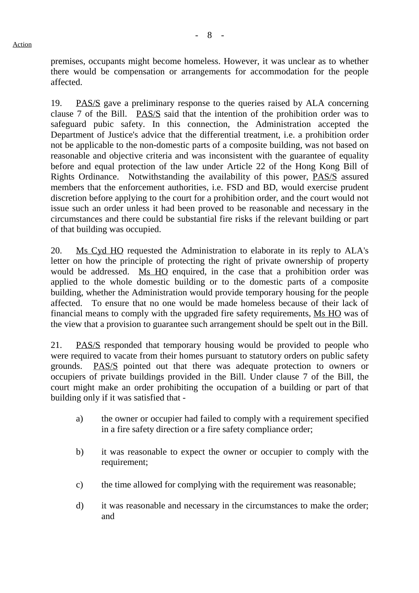premises, occupants might become homeless. However, it was unclear as to whether there would be compensation or arrangements for accommodation for the people affected.

19. PAS/S gave a preliminary response to the queries raised by ALA concerning clause 7 of the Bill. PAS/S said that the intention of the prohibition order was to safeguard pubic safety. In this connection, the Administration accepted the Department of Justice's advice that the differential treatment, i.e. a prohibition order not be applicable to the non-domestic parts of a composite building, was not based on reasonable and objective criteria and was inconsistent with the guarantee of equality before and equal protection of the law under Article 22 of the Hong Kong Bill of Rights Ordinance. Notwithstanding the availability of this power, PAS/S assured members that the enforcement authorities, i.e. FSD and BD, would exercise prudent discretion before applying to the court for a prohibition order, and the court would not issue such an order unless it had been proved to be reasonable and necessary in the circumstances and there could be substantial fire risks if the relevant building or part of that building was occupied.

20. Ms Cyd HO requested the Administration to elaborate in its reply to ALA's letter on how the principle of protecting the right of private ownership of property would be addressed. Ms HO enquired, in the case that a prohibition order was applied to the whole domestic building or to the domestic parts of a composite building, whether the Administration would provide temporary housing for the people affected. To ensure that no one would be made homeless because of their lack of financial means to comply with the upgraded fire safety requirements, Ms HO was of the view that a provision to guarantee such arrangement should be spelt out in the Bill.

21. PAS/S responded that temporary housing would be provided to people who were required to vacate from their homes pursuant to statutory orders on public safety grounds. PAS/S pointed out that there was adequate protection to owners or occupiers of private buildings provided in the Bill. Under clause 7 of the Bill, the court might make an order prohibiting the occupation of a building or part of that building only if it was satisfied that -

- a) the owner or occupier had failed to comply with a requirement specified in a fire safety direction or a fire safety compliance order;
- b) it was reasonable to expect the owner or occupier to comply with the requirement;
- c) the time allowed for complying with the requirement was reasonable;
- d) it was reasonable and necessary in the circumstances to make the order; and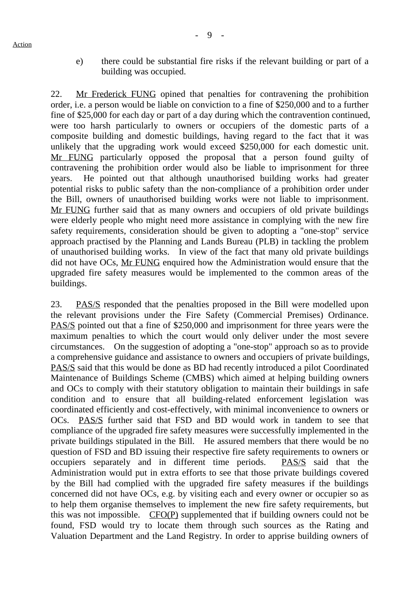e) there could be substantial fire risks if the relevant building or part of a building was occupied.

22. Mr Frederick FUNG opined that penalties for contravening the prohibition order, i.e. a person would be liable on conviction to a fine of \$250,000 and to a further fine of \$25,000 for each day or part of a day during which the contravention continued, were too harsh particularly to owners or occupiers of the domestic parts of a composite building and domestic buildings, having regard to the fact that it was unlikely that the upgrading work would exceed \$250,000 for each domestic unit. Mr FUNG particularly opposed the proposal that a person found guilty of contravening the prohibition order would also be liable to imprisonment for three years. He pointed out that although unauthorised building works had greater potential risks to public safety than the non-compliance of a prohibition order under the Bill, owners of unauthorised building works were not liable to imprisonment. Mr FUNG further said that as many owners and occupiers of old private buildings were elderly people who might need more assistance in complying with the new fire safety requirements, consideration should be given to adopting a "one-stop" service approach practised by the Planning and Lands Bureau (PLB) in tackling the problem of unauthorised building works. In view of the fact that many old private buildings did not have OCs, Mr FUNG enquired how the Administration would ensure that the upgraded fire safety measures would be implemented to the common areas of the buildings.

23. PAS/S responded that the penalties proposed in the Bill were modelled upon the relevant provisions under the Fire Safety (Commercial Premises) Ordinance. PAS/S pointed out that a fine of \$250,000 and imprisonment for three years were the maximum penalties to which the court would only deliver under the most severe circumstances. On the suggestion of adopting a "one-stop" approach so as to provide a comprehensive guidance and assistance to owners and occupiers of private buildings, PAS/S said that this would be done as BD had recently introduced a pilot Coordinated Maintenance of Buildings Scheme (CMBS) which aimed at helping building owners and OCs to comply with their statutory obligation to maintain their buildings in safe condition and to ensure that all building-related enforcement legislation was coordinated efficiently and cost-effectively, with minimal inconvenience to owners or OCs. PAS/S further said that FSD and BD would work in tandem to see that compliance of the upgraded fire safety measures were successfully implemented in the private buildings stipulated in the Bill. He assured members that there would be no question of FSD and BD issuing their respective fire safety requirements to owners or occupiers separately and in different time periods. PAS/S said that the Administration would put in extra efforts to see that those private buildings covered by the Bill had complied with the upgraded fire safety measures if the buildings concerned did not have OCs, e.g. by visiting each and every owner or occupier so as to help them organise themselves to implement the new fire safety requirements, but this was not impossible. CFO(P) supplemented that if building owners could not be found, FSD would try to locate them through such sources as the Rating and Valuation Department and the Land Registry. In order to apprise building owners of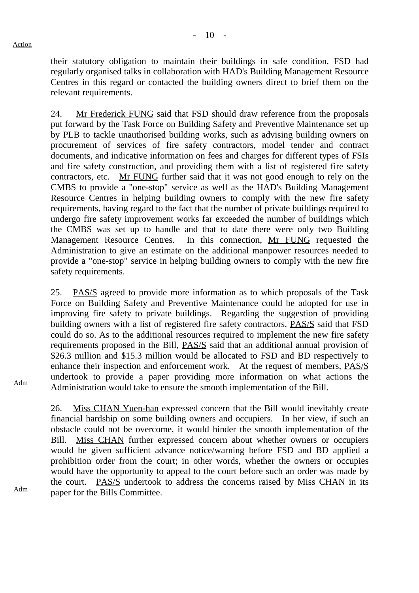their statutory obligation to maintain their buildings in safe condition, FSD had regularly organised talks in collaboration with HAD's Building Management Resource Centres in this regard or contacted the building owners direct to brief them on the relevant requirements.

24. Mr Frederick FUNG said that FSD should draw reference from the proposals put forward by the Task Force on Building Safety and Preventive Maintenance set up by PLB to tackle unauthorised building works, such as advising building owners on procurement of services of fire safety contractors, model tender and contract documents, and indicative information on fees and charges for different types of FSIs and fire safety construction, and providing them with a list of registered fire safety contractors, etc. Mr FUNG further said that it was not good enough to rely on the CMBS to provide a "one-stop" service as well as the HAD's Building Management Resource Centres in helping building owners to comply with the new fire safety requirements, having regard to the fact that the number of private buildings required to undergo fire safety improvement works far exceeded the number of buildings which the CMBS was set up to handle and that to date there were only two Building Management Resource Centres. In this connection, Mr FUNG requested the Administration to give an estimate on the additional manpower resources needed to provide a "one-stop" service in helping building owners to comply with the new fire safety requirements.

25. PAS/S agreed to provide more information as to which proposals of the Task Force on Building Safety and Preventive Maintenance could be adopted for use in improving fire safety to private buildings. Regarding the suggestion of providing building owners with a list of registered fire safety contractors, PAS/S said that FSD could do so. As to the additional resources required to implement the new fire safety requirements proposed in the Bill, PAS/S said that an additional annual provision of \$26.3 million and \$15.3 million would be allocated to FSD and BD respectively to enhance their inspection and enforcement work. At the request of members, PAS/S undertook to provide a paper providing more information on what actions the Administration would take to ensure the smooth implementation of the Bill.

26. Miss CHAN Yuen-han expressed concern that the Bill would inevitably create financial hardship on some building owners and occupiers. In her view, if such an obstacle could not be overcome, it would hinder the smooth implementation of the Bill. Miss CHAN further expressed concern about whether owners or occupiers would be given sufficient advance notice/warning before FSD and BD applied a prohibition order from the court; in other words, whether the owners or occupies would have the opportunity to appeal to the court before such an order was made by the court. PAS/S undertook to address the concerns raised by Miss CHAN in its paper for the Bills Committee.

Adm

Adm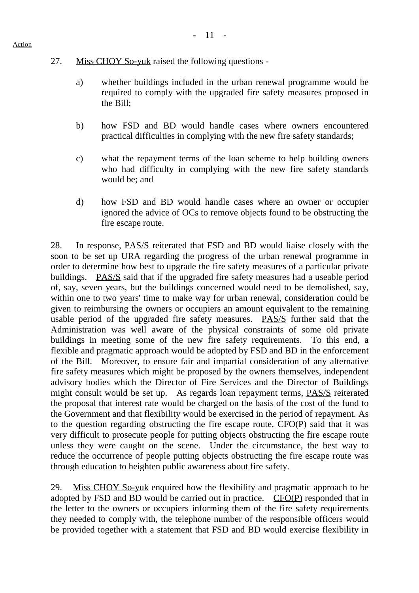- 27. Miss CHOY So-yuk raised the following questions
	- a) whether buildings included in the urban renewal programme would be required to comply with the upgraded fire safety measures proposed in the Bill;
	- b) how FSD and BD would handle cases where owners encountered practical difficulties in complying with the new fire safety standards;
	- c) what the repayment terms of the loan scheme to help building owners who had difficulty in complying with the new fire safety standards would be; and
	- d) how FSD and BD would handle cases where an owner or occupier ignored the advice of OCs to remove objects found to be obstructing the fire escape route.

28. In response, PAS/S reiterated that FSD and BD would liaise closely with the soon to be set up URA regarding the progress of the urban renewal programme in order to determine how best to upgrade the fire safety measures of a particular private buildings. PAS/S said that if the upgraded fire safety measures had a useable period of, say, seven years, but the buildings concerned would need to be demolished, say, within one to two years' time to make way for urban renewal, consideration could be given to reimbursing the owners or occupiers an amount equivalent to the remaining usable period of the upgraded fire safety measures. PAS/S further said that the Administration was well aware of the physical constraints of some old private buildings in meeting some of the new fire safety requirements. To this end, a flexible and pragmatic approach would be adopted by FSD and BD in the enforcement of the Bill. Moreover, to ensure fair and impartial consideration of any alternative fire safety measures which might be proposed by the owners themselves, independent advisory bodies which the Director of Fire Services and the Director of Buildings might consult would be set up. As regards loan repayment terms, PAS/S reiterated the proposal that interest rate would be charged on the basis of the cost of the fund to the Government and that flexibility would be exercised in the period of repayment. As to the question regarding obstructing the fire escape route, CFO(P) said that it was very difficult to prosecute people for putting objects obstructing the fire escape route unless they were caught on the scene. Under the circumstance, the best way to reduce the occurrence of people putting objects obstructing the fire escape route was through education to heighten public awareness about fire safety.

29. Miss CHOY So-yuk enquired how the flexibility and pragmatic approach to be adopted by FSD and BD would be carried out in practice. CFO(P) responded that in the letter to the owners or occupiers informing them of the fire safety requirements they needed to comply with, the telephone number of the responsible officers would be provided together with a statement that FSD and BD would exercise flexibility in